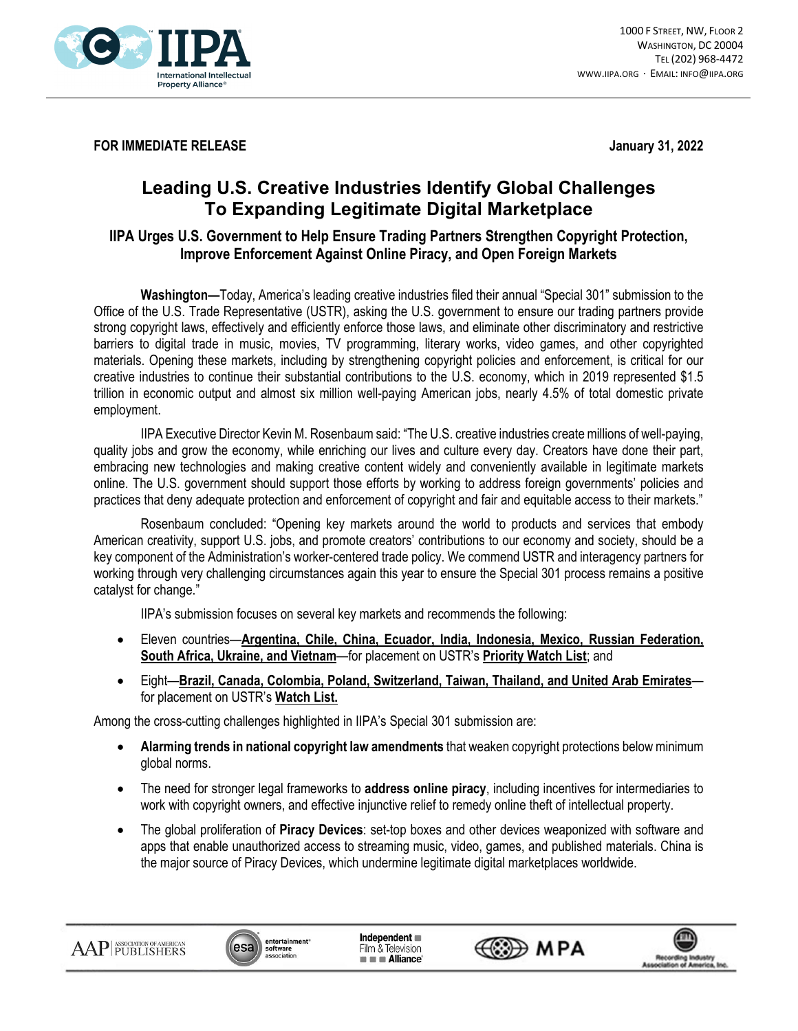

**FOR IMMEDIATE RELEASE January 31, 2022** 

## **Leading U.S. Creative Industries Identify Global Challenges To Expanding Legitimate Digital Marketplace**

## **IIPA Urges U.S. Government to Help Ensure Trading Partners Strengthen Copyright Protection, Improve Enforcement Against Online Piracy, and Open Foreign Markets**

**Washington—**Today, America's leading creative industries filed their annual "Special 301" submission to the Office of the U.S. Trade Representative (USTR), asking the U.S. government to ensure our trading partners provide strong copyright laws, effectively and efficiently enforce those laws, and eliminate other discriminatory and restrictive barriers to digital trade in music, movies, TV programming, literary works, video games, and other copyrighted materials. Opening these markets, including by strengthening copyright policies and enforcement, is critical for our creative industries to continue their substantial contributions to the U.S. economy, which in 2019 represented \$1.5 trillion in economic output and almost six million well-paying American jobs, nearly 4.5% of total domestic private employment.

IIPA Executive Director Kevin M. Rosenbaum said: "The U.S. creative industries create millions of well-paying, quality jobs and grow the economy, while enriching our lives and culture every day. Creators have done their part, embracing new technologies and making creative content widely and conveniently available in legitimate markets online. The U.S. government should support those efforts by working to address foreign governments' policies and practices that deny adequate protection and enforcement of copyright and fair and equitable access to their markets."

Rosenbaum concluded: "Opening key markets around the world to products and services that embody American creativity, support U.S. jobs, and promote creators' contributions to our economy and society, should be a key component of the Administration's worker-centered trade policy. We commend USTR and interagency partners for working through very challenging circumstances again this year to ensure the Special 301 process remains a positive catalyst for change."

IIPA's submission focuses on several key markets and recommends the following:

- Eleven countries—**Argentina, Chile, China, Ecuador, India, Indonesia, Mexico, Russian Federation, South Africa, Ukraine, and Vietnam**—for placement on USTR's **Priority Watch List**; and
- Eight—**Brazil, Canada, Colombia, Poland, Switzerland, Taiwan, Thailand, and United Arab Emirates** for placement on USTR's **Watch List.**

Among the cross-cutting challenges highlighted in IIPA's Special 301 submission are:

- **Alarming trends in national copyright law amendments** that weaken copyright protections below minimum global norms.
- The need for stronger legal frameworks to **address online piracy**, including incentives for intermediaries to work with copyright owners, and effective injunctive relief to remedy online theft of intellectual property.
- The global proliferation of **Piracy Devices**: set-top boxes and other devices weaponized with software and apps that enable unauthorized access to streaming music, video, games, and published materials. China is the major source of Piracy Devices, which undermine legitimate digital marketplaces worldwide.